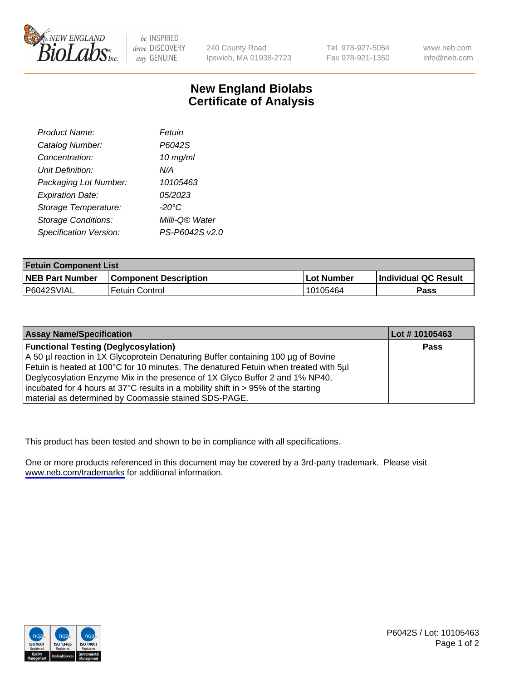

be INSPIRED drive DISCOVERY stay GENUINE

240 County Road Ipswich, MA 01938-2723 Tel 978-927-5054 Fax 978-921-1350

www.neb.com info@neb.com

## **New England Biolabs Certificate of Analysis**

| Product Name:              | Fetuin         |
|----------------------------|----------------|
| Catalog Number:            | P6042S         |
| Concentration:             | $10$ mg/ml     |
| <b>Unit Definition:</b>    | N/A            |
| Packaging Lot Number:      | 10105463       |
| <b>Expiration Date:</b>    | 05/2023        |
| Storage Temperature:       | -20°C          |
| <b>Storage Conditions:</b> | Milli-Q® Water |
| Specification Version:     | PS-P6042S v2.0 |

| <b>Fetuin Component List</b> |                              |             |                             |  |
|------------------------------|------------------------------|-------------|-----------------------------|--|
| <b>NEB Part Number</b>       | <b>Component Description</b> | ⊺Lot Number | <b>Individual QC Result</b> |  |
| P6042SVIAL                   | Fetuin Control               | 10105464    | Pass                        |  |

| <b>Assay Name/Specification</b>                                                      | Lot #10105463 |
|--------------------------------------------------------------------------------------|---------------|
| <b>Functional Testing (Deglycosylation)</b>                                          | <b>Pass</b>   |
| A 50 µl reaction in 1X Glycoprotein Denaturing Buffer containing 100 µg of Bovine    |               |
| Fetuin is heated at 100°C for 10 minutes. The denatured Fetuin when treated with 5µl |               |
| Deglycosylation Enzyme Mix in the presence of 1X Glyco Buffer 2 and 1% NP40,         |               |
| incubated for 4 hours at 37°C results in a mobility shift in > 95% of the starting   |               |
| material as determined by Coomassie stained SDS-PAGE.                                |               |

This product has been tested and shown to be in compliance with all specifications.

One or more products referenced in this document may be covered by a 3rd-party trademark. Please visit <www.neb.com/trademarks>for additional information.